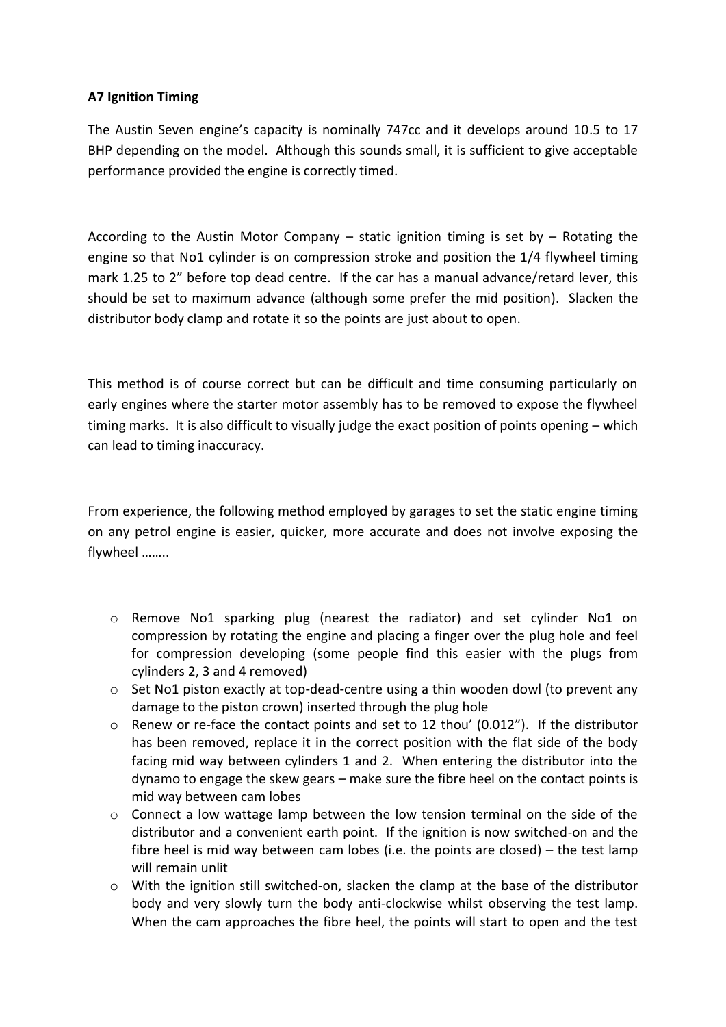## **A7 Ignition Timing**

The Austin Seven engine's capacity is nominally 747cc and it develops around 10.5 to 17 BHP depending on the model. Although this sounds small, it is sufficient to give acceptable performance provided the engine is correctly timed.

According to the Austin Motor Company – static ignition timing is set by – Rotating the engine so that No1 cylinder is on compression stroke and position the 1/4 flywheel timing mark 1.25 to 2" before top dead centre. If the car has a manual advance/retard lever, this should be set to maximum advance (although some prefer the mid position). Slacken the distributor body clamp and rotate it so the points are just about to open.

This method is of course correct but can be difficult and time consuming particularly on early engines where the starter motor assembly has to be removed to expose the flywheel timing marks. It is also difficult to visually judge the exact position of points opening – which can lead to timing inaccuracy.

From experience, the following method employed by garages to set the static engine timing on any petrol engine is easier, quicker, more accurate and does not involve exposing the flywheel ……..

- o Remove No1 sparking plug (nearest the radiator) and set cylinder No1 on compression by rotating the engine and placing a finger over the plug hole and feel for compression developing (some people find this easier with the plugs from cylinders 2, 3 and 4 removed)
- $\circ$  Set No1 piston exactly at top-dead-centre using a thin wooden dowl (to prevent any damage to the piston crown) inserted through the plug hole
- $\circ$  Renew or re-face the contact points and set to 12 thou' (0.012"). If the distributor has been removed, replace it in the correct position with the flat side of the body facing mid way between cylinders 1 and 2. When entering the distributor into the dynamo to engage the skew gears – make sure the fibre heel on the contact points is mid way between cam lobes
- o Connect a low wattage lamp between the low tension terminal on the side of the distributor and a convenient earth point. If the ignition is now switched-on and the fibre heel is mid way between cam lobes (i.e. the points are closed) – the test lamp will remain unlit
- o With the ignition still switched-on, slacken the clamp at the base of the distributor body and very slowly turn the body anti-clockwise whilst observing the test lamp. When the cam approaches the fibre heel, the points will start to open and the test